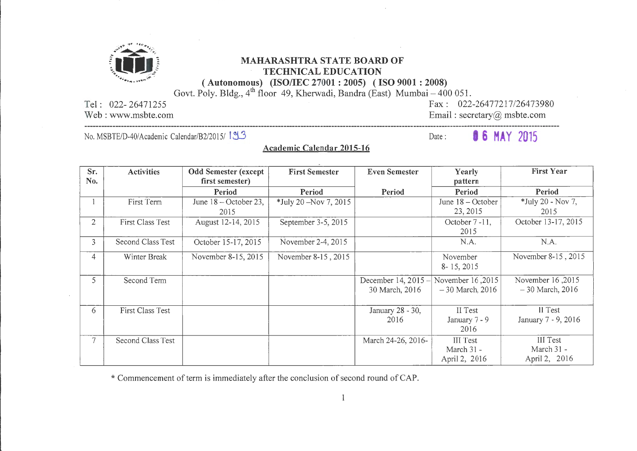

## **(lilt)** *\*,;,.,.""-.* ... MAHARASHTRA STATE BOARD OF TECHNICAL EDUCATION

......<sup>2</sup>......<sup>2</sup>... *(Autonomous) (ISO/IEC 27001 : 2005) (ISO 9001 : 2008)* 

Govt. Poly. Bldg., 4<sup>th</sup> floor 49, Kherwadi, Bandra (East) Mumbai – 400 051.

Tel : 022- 26471255

Web: www.msbte.com

Fax: 022-26477217/26473980 Email: secretary@ msbte.com

No. MSBTE/D-40/Academic Calendar/B2/2015/ 193

Date: **16 MAY** 2015

Academic Calendar 2015-16

| Sr.            | <b>Activities</b>       | <b>Odd Semester (except</b> | <b>First Semester</b>    | <b>Even Semester</b> | Yearly              | <b>First Year</b>   |
|----------------|-------------------------|-----------------------------|--------------------------|----------------------|---------------------|---------------------|
| No.            |                         | first semester)             |                          |                      | pattern             |                     |
|                |                         | Period                      | Period                   | Period               | Period              | Period              |
|                | First Term              | June 18 - October 23,       | $*$ July 20 –Nov 7, 2015 |                      | June $18 -$ October | *July 20 - Nov 7,   |
|                |                         | 2015                        |                          |                      | 23, 2015            | 2015                |
| $\overline{2}$ | First Class Test        | August 12-14, 2015          | September 3-5, 2015      |                      | October 7-11,       | October 13-17, 2015 |
|                |                         |                             |                          |                      | 2015                |                     |
| 3              | Second Class Test       | October 15-17, 2015         | November 2-4, 2015       |                      | N.A.                | N.A.                |
| 4              | Winter Break            | November 8-15, 2015         | November 8-15, 2015      |                      | November            | November 8-15, 2015 |
|                |                         |                             |                          |                      | 8-15, 2015          |                     |
| 5              | Second Term             |                             |                          | December 14, 2015 -  | November 16,2015    | November 16,2015    |
|                |                         |                             |                          | 30 March, 2016       | $-30$ March, 2016   | $-30$ March, 2016   |
|                |                         |                             |                          |                      |                     |                     |
| 6              | <b>First Class Test</b> |                             |                          | January 28 - 30,     | II Test             | II Test             |
|                |                         |                             |                          | 2016                 | January 7 - 9       | January 7 - 9, 2016 |
|                |                         |                             |                          |                      | 2016                |                     |
| 7 <sup>1</sup> | Second Class Test       |                             |                          | March 24-26, 2016-   | III Test            | III Test            |
|                |                         |                             |                          |                      | March 31 -          | March 31 -          |
|                |                         |                             |                          |                      | April 2, 2016       | April 2, 2016       |

\*Commencement of term is immediately after the conclusion of second round of CAP.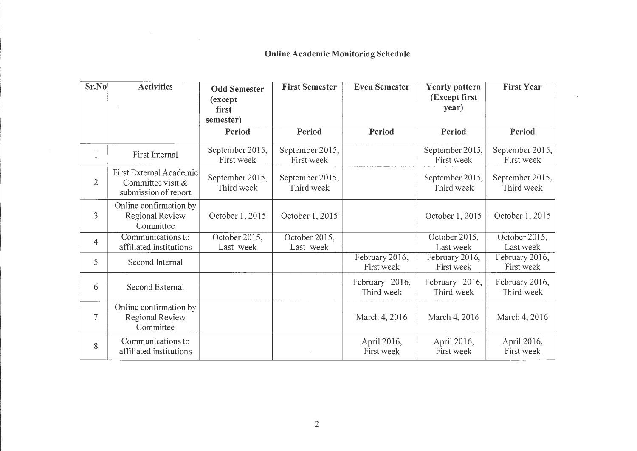## **Online Academic Monitoring Schedule**

 $\sim$ 

 $\label{eq:2.1} \frac{1}{\sqrt{2\pi}}\int_{0}^{\infty}\frac{1}{\sqrt{2\pi}}\left(\frac{1}{\sqrt{2\pi}}\right)^{2\alpha} \frac{1}{\sqrt{2\pi}}\int_{0}^{\infty}\frac{1}{\sqrt{2\pi}}\frac{1}{\sqrt{2\pi}}\frac{1}{\sqrt{2\pi}}\frac{1}{\sqrt{2\pi}}\frac{1}{\sqrt{2\pi}}\frac{1}{\sqrt{2\pi}}\frac{1}{\sqrt{2\pi}}\frac{1}{\sqrt{2\pi}}\frac{1}{\sqrt{2\pi}}\frac{1}{\sqrt{2\pi}}\frac{1}{\sqrt{2\pi}}\frac{$ 

| Sr.No          | <b>Activities</b>                                                    | <b>Odd Semester</b>           | <b>First Semester</b>         | <b>Even Semester</b>         | <b>Yearly pattern</b>         | <b>First Year</b>             |
|----------------|----------------------------------------------------------------------|-------------------------------|-------------------------------|------------------------------|-------------------------------|-------------------------------|
|                |                                                                      | (except)                      |                               |                              | (Except first                 |                               |
|                |                                                                      | first                         |                               |                              | year)                         |                               |
|                |                                                                      | semester)<br>Period           | Period                        | Period                       | Period                        | Period                        |
|                |                                                                      |                               |                               |                              |                               |                               |
| 1              | First Internal                                                       | September 2015,<br>First week | September 2015,<br>First week |                              | September 2015,<br>First week | September 2015,<br>First week |
| $\overline{2}$ | First External Academic<br>Committee visit &<br>submission of report | September 2015,<br>Third week | September 2015,<br>Third week |                              | September 2015,<br>Third week | September 2015,<br>Third week |
| 3              | Online confirmation by<br>Regional Review<br>Committee               | October 1, 2015               | October 1, 2015               |                              | October 1, 2015               | October 1, 2015               |
| $\overline{4}$ | Communications to<br>affiliated institutions                         | October 2015,<br>Last week    | October 2015,<br>Last week    |                              | October 2015,<br>Last week    | October 2015,<br>Last week    |
| 5              | Second Internal                                                      |                               |                               | February 2016,<br>First week | February 2016,<br>First week  | February 2016,<br>First week  |
| 6              | Second External                                                      |                               |                               | February 2016,<br>Third week | February 2016,<br>Third week  | February 2016,<br>Third week  |
| 7              | Online confirmation by<br><b>Regional Review</b><br>Committee        |                               |                               | March 4, 2016                | March 4, 2016                 | March 4, 2016                 |
| 8              | Communications to<br>affiliated institutions                         |                               |                               | April 2016,<br>First week    | April 2016,<br>First week     | April 2016,<br>First week     |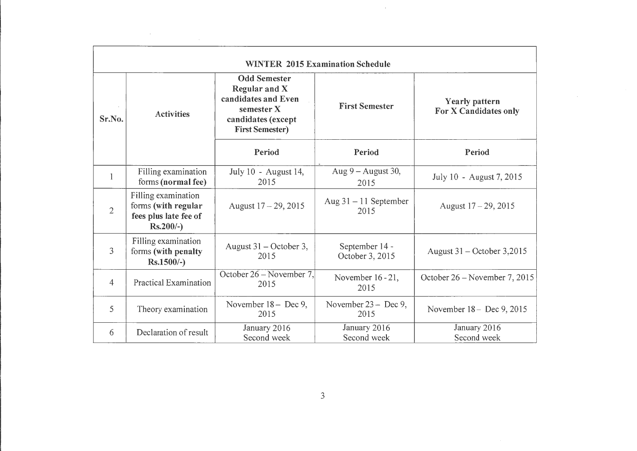|                |                                                                                     |                                                                                                                           | <b>WINTER 2015 Examination Schedule</b> |                                         |
|----------------|-------------------------------------------------------------------------------------|---------------------------------------------------------------------------------------------------------------------------|-----------------------------------------|-----------------------------------------|
| Sr.No.         | <b>Activities</b>                                                                   | <b>Odd Semester</b><br>Regular and X<br>candidates and Even<br>semester X<br>candidates (except<br><b>First Semester)</b> | <b>First Semester</b>                   | Yearly pattern<br>For X Candidates only |
|                |                                                                                     | Period                                                                                                                    | Period                                  | Period                                  |
| $\mathbf{1}$   | Filling examination<br>forms (normal fee)                                           | July 10 - August 14,<br>2015                                                                                              | Aug 9 - August 30,<br>2015              | July 10 - August 7, 2015                |
| $\overline{2}$ | Filling examination<br>forms (with regular<br>fees plus late fee of<br>$Rs.200/-$ ) | August $17 - 29$ , 2015                                                                                                   | Aug $31 - 11$ September<br>2015         | August $17 - 29$ , 2015                 |
| 3              | Filling examination<br>forms (with penalty<br>$Rs.1500/-$                           | August 31 – October 3,<br>2015                                                                                            | September 14 -<br>October 3, 2015       | August 31 – October 3,2015              |
| 4              | Practical Examination                                                               | October 26 – November 7,<br>2015                                                                                          | November 16 - 21,<br>2015               | October 26 - November 7, 2015           |
| 5              | Theory examination                                                                  | November 18 - Dec 9,<br>2015                                                                                              | November 23 - Dec 9,<br>2015            | November 18 - Dec 9, 2015               |
| 6              | Declaration of result                                                               | January 2016<br>Second week                                                                                               | January 2016<br>Second week             | January 2016<br>Second week             |

 $\label{eq:2.1} \frac{1}{\sqrt{2\pi}}\int_{0}^{\infty}\frac{1}{\sqrt{2\pi}}\left(\frac{1}{\sqrt{2\pi}}\right)^{2\alpha} \frac{1}{\sqrt{2\pi}}\int_{0}^{\infty}\frac{1}{\sqrt{2\pi}}\left(\frac{1}{\sqrt{2\pi}}\right)^{\alpha} \frac{1}{\sqrt{2\pi}}\frac{1}{\sqrt{2\pi}}\int_{0}^{\infty}\frac{1}{\sqrt{2\pi}}\frac{1}{\sqrt{2\pi}}\frac{1}{\sqrt{2\pi}}\frac{1}{\sqrt{2\pi}}\frac{1}{\sqrt{2\pi}}\frac{1}{\sqrt{2\$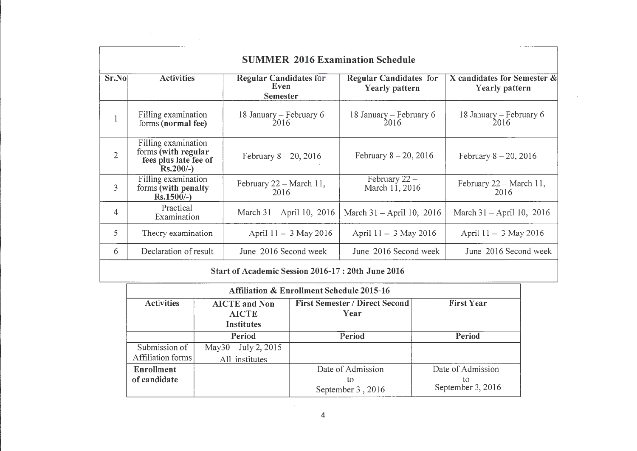|                | <b>SUMMER 2016 Examination Schedule</b>                                             |                                                          |                                                        |                                                  |
|----------------|-------------------------------------------------------------------------------------|----------------------------------------------------------|--------------------------------------------------------|--------------------------------------------------|
| Sr.No          | <b>Activities</b>                                                                   | <b>Regular Candidates for</b><br>Even<br><b>Semester</b> | <b>Regular Candidates for</b><br><b>Yearly pattern</b> | X candidates for Semester $\&$<br>Yearly pattern |
|                | Filling examination<br>forms (normal fee)                                           | 18 January -- February 6<br>2016                         | 18 January - February 6<br>2016                        | 18 January – February 6<br>2016                  |
| $\overline{2}$ | Filling examination<br>forms (with regular<br>fees plus late fee of<br>$Rs.200/-$ ) | February $8 - 20, 2016$                                  | February $8 - 20, 2016$                                | February $8 - 20$ , 2016                         |
| 3              | Filling examination<br>forms (with penalty<br>$Rs.1500/-$                           | February 22 - March 11,<br>2016                          | February $22 -$<br>March 11, 2016                      | February $22 - March 11$ ,<br>2016               |
| 4              | Practical<br>Examination                                                            | March $31 -$ April 10, 2016                              | March $31 -$ April 10, 2016                            | March $31 -$ April 10, 2016                      |
| 5              | Theory examination                                                                  | April $11 - 3$ May 2016                                  | April $11 - 3$ May 2016                                | April $11 - 3$ May 2016                          |
| 6              | Declaration of result                                                               | June 2016 Second week                                    | June 2016 Second week                                  | June 2016 Second week                            |

 $\sim$ 

 $\label{eq:2.1} \frac{1}{\sqrt{2}}\sum_{i=1}^n\frac{1}{\sqrt{2}}\sum_{i=1}^n\frac{1}{\sqrt{2}}\sum_{i=1}^n\frac{1}{\sqrt{2}}\sum_{i=1}^n\frac{1}{\sqrt{2}}\sum_{i=1}^n\frac{1}{\sqrt{2}}\sum_{i=1}^n\frac{1}{\sqrt{2}}\sum_{i=1}^n\frac{1}{\sqrt{2}}\sum_{i=1}^n\frac{1}{\sqrt{2}}\sum_{i=1}^n\frac{1}{\sqrt{2}}\sum_{i=1}^n\frac{1}{\sqrt{2}}\sum_{i=1}^n\frac$ 

 $\mathsf{r}$ 

## Start of Academic Session 2016-17 : 20th June 2016

| <b>Affiliation &amp; Enrollment Schedule 2015-16</b> |                                                           |                                               |                         |  |
|------------------------------------------------------|-----------------------------------------------------------|-----------------------------------------------|-------------------------|--|
| <b>Activities</b>                                    | <b>AICTE</b> and Non<br><b>AICTE</b><br><b>Institutes</b> | <b>First Semester / Direct Second</b><br>Year | <b>First Year</b>       |  |
|                                                      | Period                                                    | Period                                        | Period                  |  |
| Submission of                                        | May 30 - July 2, 2015                                     |                                               |                         |  |
| Affiliation forms                                    | All institutes                                            |                                               |                         |  |
| <b>Enrollment</b>                                    |                                                           | Date of Admission                             | Date of Admission       |  |
| of candidate                                         |                                                           | tο<br>September 3, 2016                       | tο<br>September 3, 2016 |  |

 $\sim 10^7$